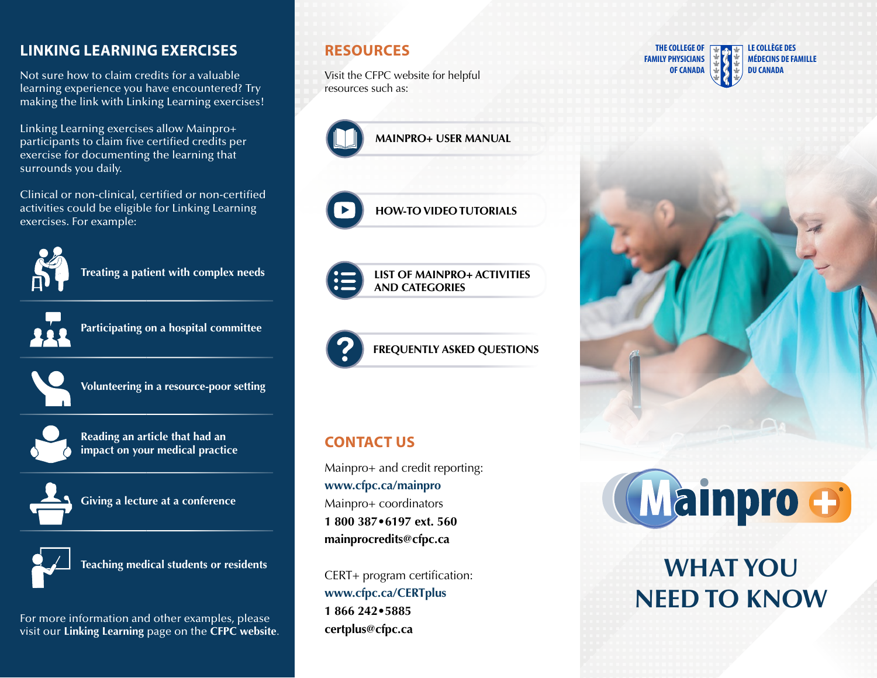## **LINKING LEARNING EXERCISES**

Not sure how to claim credits for a valuable learning experience you have encountered? Try making the link with Linking Learning exercises!

Linking Learning exercises allow Mainpro+ participants to claim five certified credits per exercise for documenting the learning that surrounds you daily.

Clinical or non-clinical, certified or non-certified activities could be eligible for Linking Learning exercises. For example:



**Treating a patient with complex needs** 



**Participating on a hospital committee** 

**Volunteering in a resource-poor setting** 



**Reading an article that had an impact on your medical practice** 



**Giving a lecture at a conference** 



**Teaching medical students or residents** 

For more information and other examples, please visit our **Linking Learning** page on the **CFPC website**.

Visit the CFPC website for helpful **DU CANADA DU CANADA** resources such as:





**[HOW-TO VIDEO TUTORIALS](http://www.cfpc.ca/Mainpro+_Resources/)** 



**[LIST OF MAINPRO+ ACTIVITIES](http://www.cfpc.ca/mainpro-activity-categories)  [AND CATEGORIES](http://www.cfpc.ca/mainpro-activity-categories)** 



**[FREQUENTLY ASKED QUESTIONS](http://www.cfpc.ca/ProjectAssets/Templates/FAQ.aspx?id=9307)** 

## **CONTACT US**

Mainpro+ and credit reporting: **<www.cfpc.ca/mainpro>**  Mainpro+ coordinators **1 800 387•6197 ext. 560 [mainprocredits@cfpc.ca](mailto:mainprocredits@cfpc.ca)** 

CERT+ program certification: **<www.cfpc.ca/CERTplus> 1 866 242•5885 [certplus@cfpc.ca](mailto:certplus@cfpc.ca)** 





# Mainpro +

## **WHAT YOU NEED TO KNOW**